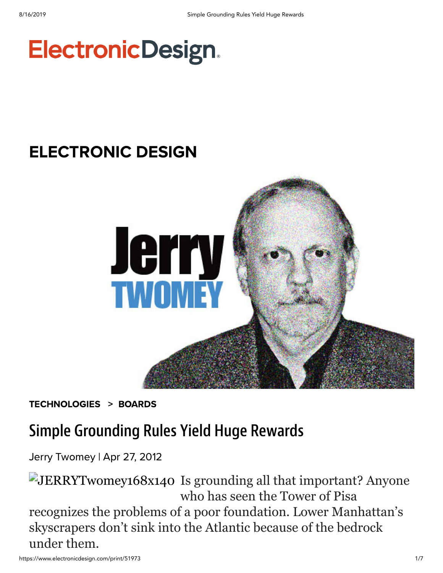# **ElectronicDesign.**

# [ELECTRONIC DESIGN](https://www.electronicdesign.com/electronic-design-0)



[TECHNOLOGIES](https://www.electronicdesign.com/technologies) > [BOARDS](https://www.electronicdesign.com/technologies/boards)

## Simple Grounding Rules Yield Huge Rewards

Jerry [Twomey](https://www.electronicdesign.com/author/jerry-twomey) | Apr 27, 2012

JERRYTwomey168x140 Is grounding all that important? Anyone who has seen the Tower of Pisa recognizes the problems of a poor foundation. Lower Manhattan's skyscrapers don't sink into the Atlantic because of the bedrock under them.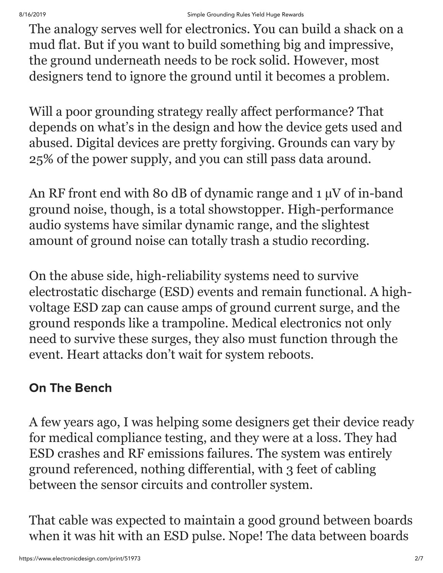The analogy serves well for electronics. You can build a shack on a mud flat. But if you want to build something big and impressive, the ground underneath needs to be rock solid. However, most designers tend to ignore the ground until it becomes a problem.

Will a poor grounding strategy really affect performance? That depends on what's in the design and how the device gets used and abused. Digital devices are pretty forgiving. Grounds can vary by 25% of the power supply, and you can still pass data around.

An RF front end with 80 dB of dynamic range and 1  $\mu$ V of in-band ground noise, though, is a total showstopper. High-performance audio systems have similar dynamic range, and the slightest amount of ground noise can totally trash a studio recording.

On the abuse side, high-reliability systems need to survive electrostatic discharge (ESD) events and remain functional. A highvoltage ESD zap can cause amps of ground current surge, and the ground responds like a trampoline. Medical electronics not only need to survive these surges, they also must function through the event. Heart attacks don't wait for system reboots.

### On The Bench

A few years ago, I was helping some designers get their device ready for medical compliance testing, and they were at a loss. They had ESD crashes and RF emissions failures. The system was entirely ground referenced, nothing differential, with 3 feet of cabling between the sensor circuits and controller system.

That cable was expected to maintain a good ground between boards when it was hit with an ESD pulse. Nope! The data between boards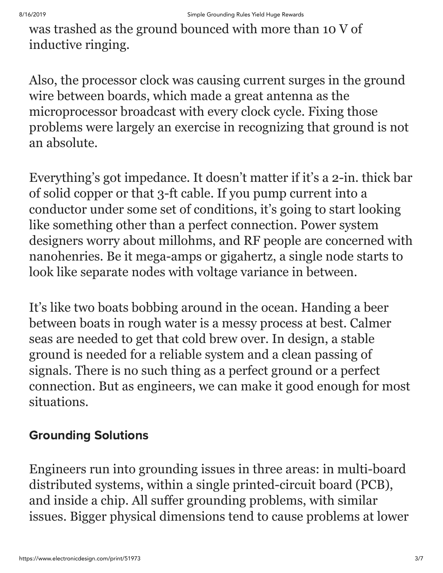was trashed as the ground bounced with more than 10 V of inductive ringing.

Also, the processor clock was causing current surges in the ground wire between boards, which made a great antenna as the microprocessor broadcast with every clock cycle. Fixing those problems were largely an exercise in recognizing that ground is not an absolute.

Everything's got impedance. It doesn't matter if it's a 2-in. thick bar of solid copper or that 3-ft cable. If you pump current into a conductor under some set of conditions, it's going to start looking like something other than a perfect connection. Power system designers worry about millohms, and RF people are concerned with nanohenries. Be it mega-amps or gigahertz, a single node starts to look like separate nodes with voltage variance in between.

It's like two boats bobbing around in the ocean. Handing a beer between boats in rough water is a messy process at best. Calmer seas are needed to get that cold brew over. In design, a stable ground is needed for a reliable system and a clean passing of signals. There is no such thing as a perfect ground or a perfect connection. But as engineers, we can make it good enough for most situations.

#### Grounding Solutions

Engineers run into grounding issues in three areas: in multi-board distributed systems, within a single printed-circuit board (PCB), and inside a chip. All suffer grounding problems, with similar issues. Bigger physical dimensions tend to cause problems at lower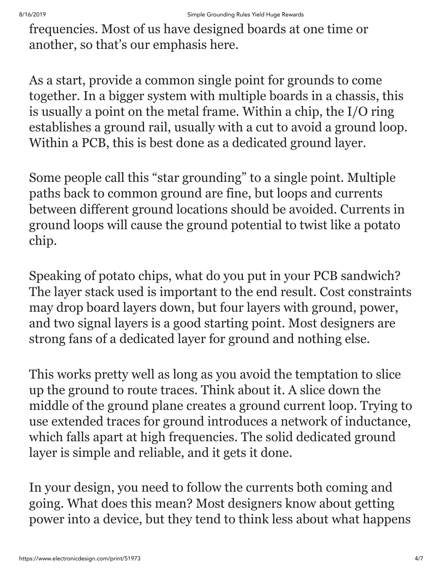frequencies. Most of us have designed boards at one time or another, so that's our emphasis here.

As a start, provide a common single point for grounds to come together. In a bigger system with multiple boards in a chassis, this is usually a point on the metal frame. Within a chip, the I/O ring establishes a ground rail, usually with a cut to avoid a ground loop. Within a PCB, this is best done as a dedicated ground layer.

Some people call this "star grounding" to a single point. Multiple paths back to common ground are fine, but loops and currents between different ground locations should be avoided. Currents in ground loops will cause the ground potential to twist like a potato chip.

Speaking of potato chips, what do you put in your PCB sandwich? The layer stack used is important to the end result. Cost constraints may drop board layers down, but four layers with ground, power, and two signal layers is a good starting point. Most designers are strong fans of a dedicated layer for ground and nothing else.

This works pretty well as long as you avoid the temptation to slice up the ground to route traces. Think about it. A slice down the middle of the ground plane creates a ground current loop. Trying to use extended traces for ground introduces a network of inductance, which falls apart at high frequencies. The solid dedicated ground layer is simple and reliable, and it gets it done.

In your design, you need to follow the currents both coming and going. What does this mean? Most designers know about getting power into a device, but they tend to think less about what happens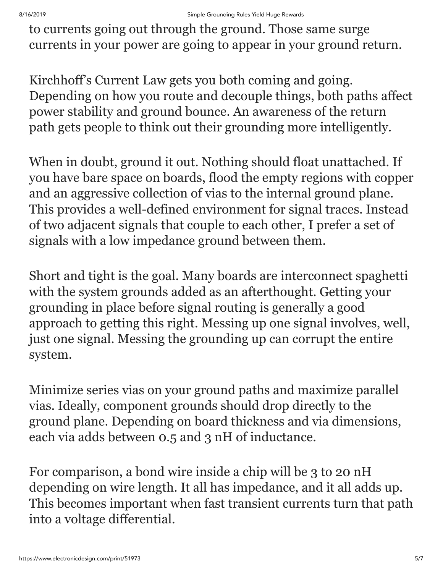to currents going out through the ground. Those same surge currents in your power are going to appear in your ground return.

Kirchhoff's Current Law gets you both coming and going. Depending on how you route and decouple things, both paths affect power stability and ground bounce. An awareness of the return path gets people to think out their grounding more intelligently.

When in doubt, ground it out. Nothing should float unattached. If you have bare space on boards, flood the empty regions with copper and an aggressive collection of vias to the internal ground plane. This provides a well-defined environment for signal traces. Instead of two adjacent signals that couple to each other, I prefer a set of signals with a low impedance ground between them.

Short and tight is the goal. Many boards are interconnect spaghetti with the system grounds added as an afterthought. Getting your grounding in place before signal routing is generally a good approach to getting this right. Messing up one signal involves, well, just one signal. Messing the grounding up can corrupt the entire system.

Minimize series vias on your ground paths and maximize parallel vias. Ideally, component grounds should drop directly to the ground plane. Depending on board thickness and via dimensions, each via adds between 0.5 and 3 nH of inductance.

For comparison, a bond wire inside a chip will be 3 to 20 nH depending on wire length. It all has impedance, and it all adds up. This becomes important when fast transient currents turn that path into a voltage differential.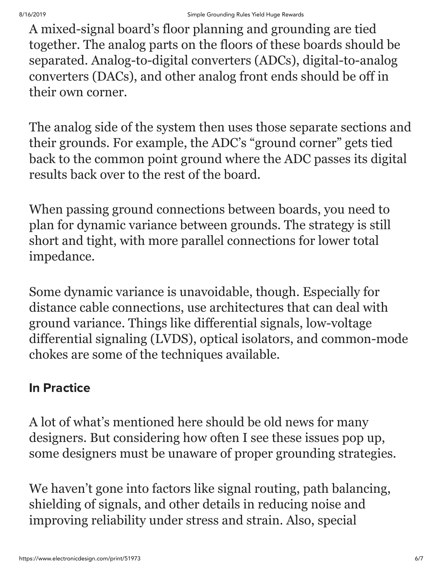A mixed-signal board's floor planning and grounding are tied together. The analog parts on the floors of these boards should be separated. Analog-to-digital converters (ADCs), digital-to-analog converters (DACs), and other analog front ends should be off in their own corner.

The analog side of the system then uses those separate sections and their grounds. For example, the ADC's "ground corner" gets tied back to the common point ground where the ADC passes its digital results back over to the rest of the board.

When passing ground connections between boards, you need to plan for dynamic variance between grounds. The strategy is still short and tight, with more parallel connections for lower total impedance.

Some dynamic variance is unavoidable, though. Especially for distance cable connections, use architectures that can deal with ground variance. Things like differential signals, low-voltage differential signaling (LVDS), optical isolators, and common-mode chokes are some of the techniques available.

#### In Practice

A lot of what's mentioned here should be old news for many designers. But considering how often I see these issues pop up, some designers must be unaware of proper grounding strategies.

We haven't gone into factors like signal routing, path balancing, shielding of signals, and other details in reducing noise and improving reliability under stress and strain. Also, special